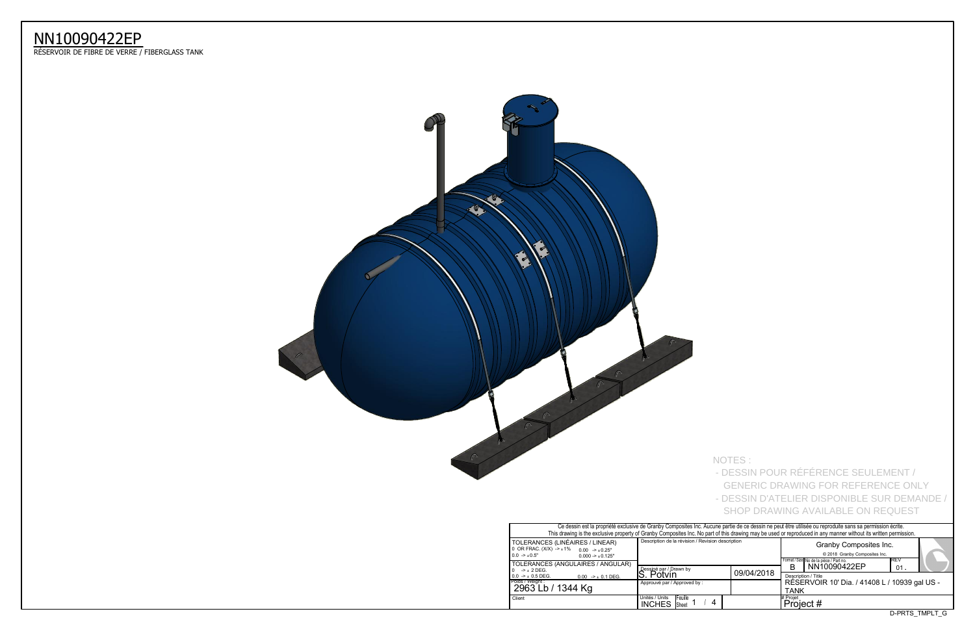| Ce dessin est la propriété exclusive de Granby Composites Inc. Aucune partie de ce dessin ne peut être utilisée ou reproduite sans sa permission écrite.<br>This drawing is the exclusive property of Granby Composites Inc. No part of this drawing may be used or reproduced in any manner without its written permission. |                                                                         |            |                                                                                                |  |  |  |  |  |  |  |  |
|------------------------------------------------------------------------------------------------------------------------------------------------------------------------------------------------------------------------------------------------------------------------------------------------------------------------------|-------------------------------------------------------------------------|------------|------------------------------------------------------------------------------------------------|--|--|--|--|--|--|--|--|
| TOLERANCES (LINÉAIRES / LINEAR)<br>0 OR FRAC. $(X/X)$ -> $\pm$ 1%<br>$0.00 \rightarrow +0.25$ "<br>$0.0 \rightarrow \pm 0.5"$<br>$0.000 - 1.001 - 1.001$                                                                                                                                                                     | Description de la révision / Revision description                       |            | Granby Composites Inc.<br>© 2018 Granby Composites Inc.                                        |  |  |  |  |  |  |  |  |
| TOLERANCES (ANGULAIRES / ANGULAR)<br>$10 \rightarrow \pm 2$ DEG.                                                                                                                                                                                                                                                             | Dessiné par / Drawn by<br>S. Potvin                                     | 09/04/2018 | <b>IREV</b><br>Format / Size No de la pièce / Part no.<br>NN10090422EP<br>в<br>01 <sub>1</sub> |  |  |  |  |  |  |  |  |
| $10.0 \rightarrow \pm 0.5$ DEG.<br>$0.00$ -> $\pm$ 0.1 DEG.<br>Poids / Weight :<br>2963 Lb / 1344 Kg                                                                                                                                                                                                                         | Approuvé par / Approved by:                                             |            | Description / Title<br>RÉSERVOIR 10' Dia. / 41408 L / 10939 o<br><b>TANK</b>                   |  |  |  |  |  |  |  |  |
| Client                                                                                                                                                                                                                                                                                                                       | Unités / Units<br><b>IFeuille</b><br>4<br><b>INCHES</b><br><b>Sheet</b> |            | # Projet<br>Project #                                                                          |  |  |  |  |  |  |  |  |

## NN10090422EP

ReSERVOIR DE FIBRE DE VERRE / FIBERGLASS TANK



NOTES :

- DESSIN POUR RÉFÉRENCE SEULEMENT /

 GENERIC DRAWING FOR REFERENCE ONLY - DESSIN D'ATELIER DISPONIBLE SUR DEMANDE / SHOP DRAWING AVAILABLE ON REQUEST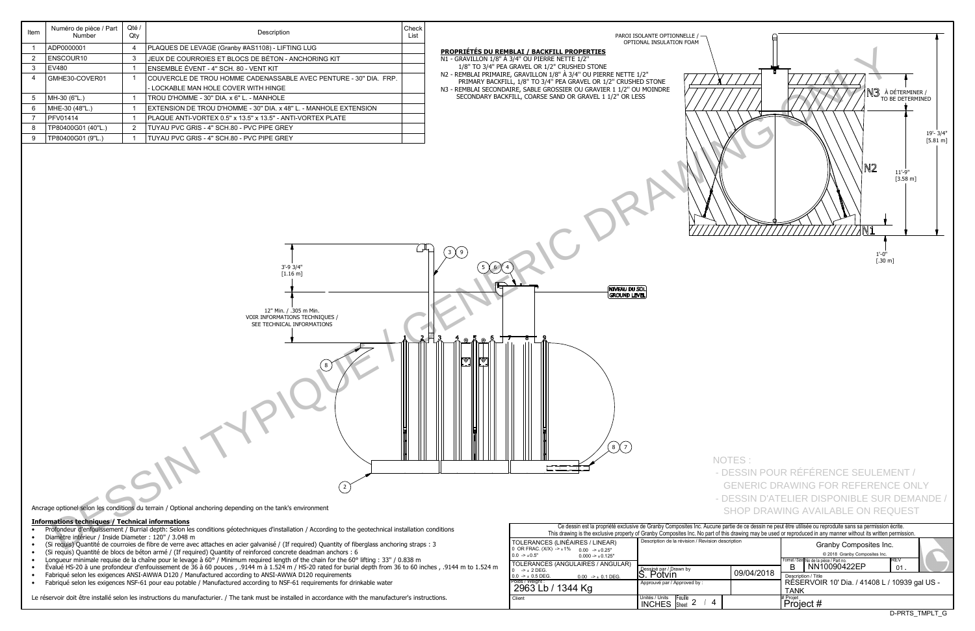D-PRTS\_TMPLT\_G

|                                                                                                                                                                     | . Ce dessin est la propriété exclusive de Granby Composités Inc. Aucune partie de ce dessin ne peut être u<br>This drawing is the exclusive property of Granby Composites Inc. No part of this drawing may be used or repro |            |                   |  |  |  |  |
|---------------------------------------------------------------------------------------------------------------------------------------------------------------------|-----------------------------------------------------------------------------------------------------------------------------------------------------------------------------------------------------------------------------|------------|-------------------|--|--|--|--|
| TOLERANCES (LINÉAIRES / LINEAR)<br>0 OR FRAC. (X/X) -> ±1% 0.00 -> ±0.25"<br>$0.0 \rightarrow 0.5"$<br>$0.000 - 1.000 - 1.000$<br>TOLERANCES (ANGULAIRES / ANGULAR) | Description de la révision / Revision description                                                                                                                                                                           |            |                   |  |  |  |  |
| l O<br>$\rightarrow$ + 2 DEG.<br>$10.0 \rightarrow \pm 0.5$ DEG.<br>$0.00$ -> $\pm$ 0.1 DEG.                                                                        | Dessiné par / Drawn by<br>S. Potvin                                                                                                                                                                                         | 09/04/2018 | В<br>Descr        |  |  |  |  |
| Poids / Weight :<br>  2963 Lb / 1344 Kg                                                                                                                             | Approuvé par / Approved by:                                                                                                                                                                                                 |            | <b>RÉS</b><br>TAN |  |  |  |  |
| Client                                                                                                                                                              | Unités / Units<br><b>IFeuille</b><br><b>INCHES</b><br><b>Sheet</b>                                                                                                                                                          |            | # Projet<br>Pro   |  |  |  |  |

## **Informations techniques / Technical informations**

- Profondeur d'enfouissement / Burrial depth: Selon les conditions géotechniques d'installation / According to the geotechnical installation conditions
- Diamètre intérieur / Inside Diameter : 120" / 3.048 m
- (Si requis) Quantité de courroies de fibre de verre avec attaches en acier galvanisé / (If required) Quantity of fiberglass anchoring straps : 3
- (Si requis) Quantité de blocs de béton armé / (If required) Quantity of reinforced concrete deadman anchors : 6
- Longueur minimale requise de la chaîne pour le levage à 60° / Minimum required length of the chain for the 60° lifting : 33" / 0.838 m
- $\bullet$  Évalué HS-20 à une profondeur d'enfouissement de 36 à 60 pouces , .9144 m à 1.524 m / HS-20 rated for burial depth from 36 to 60 inches , .9144 m to 1.524 m
- Fabriqué selon les exigences ANSI-AWWA D120 / Manufactured according to ANSI-AWWA D120 requirements
- Fabriqué selon les exigences NSF-61 pour eau potable / Manufactured according to NSF-61 requirements for drinkable water

Le réservoir doit être installé selon les instructions du manufacturier. / The tank must be installed in accordance with the manufacturer's instructions.

| Item           | Numéro de pièce / Part<br>Number                        | Qté /<br>Qty   | Description                                                                                                                                           | Check<br>List | PAROI ISOLANTE OPTIONNELLE /                                                                                                                                                                                                                                                                                     |
|----------------|---------------------------------------------------------|----------------|-------------------------------------------------------------------------------------------------------------------------------------------------------|---------------|------------------------------------------------------------------------------------------------------------------------------------------------------------------------------------------------------------------------------------------------------------------------------------------------------------------|
|                | ADP0000001                                              | $\overline{4}$ | PLAQUES DE LEVAGE (Granby #AS1108) - LIFTING LUG                                                                                                      |               | OPTIONAL INSULATION FOAM<br>PROPRIÉTÉS DU REMBLAI / BACKFILL PROPERTIES                                                                                                                                                                                                                                          |
| $\overline{2}$ | ENSCOUR10                                               | $\mathbf{3}$   | JEUX DE COURROIES ET BLOCS DE BÉTON - ANCHORING KIT                                                                                                   |               | N1 - GRAVILLON 1/8" À 3/4" OU PIERRE NETTE 1/2"                                                                                                                                                                                                                                                                  |
|                | EV480                                                   |                | ENSEMBLE ÉVENT - 4" SCH. 80 - VENT KIT                                                                                                                |               | 1/8" TO 3/4" PEA GRAVEL OR 1/2" CRUSHED STONE                                                                                                                                                                                                                                                                    |
|                | GMHE30-COVER01                                          |                | COUVERCLE DE TROU HOMME CADENASSABLE AVEC PENTURE - 30" DIA. FRP.                                                                                     |               | N2 - REMBLAI PRIMAIRE, GRAVILLON 1/8" À 3/4" OU PIERRE NETTE 1/2"<br>PRIMARY BACKFILL, 1/8" TO 3/4" PEA GRAVEL OR 1/2" CRUSHED STONE                                                                                                                                                                             |
|                |                                                         |                | - LOCKABLE MAN HOLE COVER WITH HINGE                                                                                                                  |               | N3 - REMBLAI SECONDAIRE, SABLE GROSSIER OU GRAVIER 1 1/2" OU MOINDRE                                                                                                                                                                                                                                             |
|                | MH-30 (6"L.)                                            |                | TROU D'HOMME - 30" DIA. x 6" L. - MANHOLE                                                                                                             |               | N3 à dé<br>to be<br>SECONDARY BACKFILL, COARSE SAND OR GRAVEL 1 1/2" OR LESS                                                                                                                                                                                                                                     |
|                | MHE-30 (48"L.)                                          |                | EXTENSION DE TROU D'HOMME - 30" DIA. x 48" L. - MANHOLE EXTENSION                                                                                     |               |                                                                                                                                                                                                                                                                                                                  |
|                | <b>PFV01414</b>                                         |                | PLAQUE ANTI-VORTEX 0.5" x 13.5" x 13.5" - ANTI-VORTEX PLATE                                                                                           |               |                                                                                                                                                                                                                                                                                                                  |
|                | TP80400G01 (40"L.)                                      | $\overline{2}$ | TUYAU PVC GRIS - 4" SCH.80 - PVC PIPE GREY                                                                                                            |               |                                                                                                                                                                                                                                                                                                                  |
|                | TP80400G01 (9"L.)                                       |                | TUYAU PVC GRIS - 4" SCH.80 - PVC PIPE GREY                                                                                                            |               |                                                                                                                                                                                                                                                                                                                  |
|                |                                                         |                |                                                                                                                                                       |               | IN2<br>WN                                                                                                                                                                                                                                                                                                        |
|                |                                                         |                | 3'-9 3/4"<br>$[1.16 \text{ m}]$<br>12" Min. / .305 m Min.<br>VOIR INFORMATIONS TECHNIQUES /<br>SEE TECHNICAL INFORMATIONS                             |               | 3 X 9<br>$1'$ -0"<br>$[.30 \text{ m}]$<br>NIVEAU DU SOL<br>GROUND LEVEL                                                                                                                                                                                                                                          |
|                |                                                         |                | Ancrage optionel selon les conditions du terrain / Optional anchoring depending on the tank's environment                                             |               | NOTES:<br>- DESSIN POUR RÉFÉRENCE SEULEME<br><b>GENERIC DRAWING FOR REFERENCE</b><br>- DESSIN D'ATELIER DISPONIBLE SUR I<br><b>SHOP DRAWING AVAILABLE ON REQU</b>                                                                                                                                                |
|                | <b>Informations techniques / Technical informations</b> |                | Profondeur d'enfouissement / Burrial depth: Selon les conditions géotechniques d'installation / According to the geotechnical installation conditions |               | Ce dessin est la propriété exclusive de Granby Composites Inc. Aucune partie de ce dessin ne peut être utilisée ou reproduite sans sa permission écr<br>This drawing is the exclusive property of Granby Composites Inc. No part of this drawing may be used or reproduced in any manner without its written per |
|                | Diamètre intérieur / Inside Diameter : 120" / 3.048 m   |                | (Si requis) Quantité de courroies de fibre de verre avec attaches en acier galvanisé / (If required) Quantity of fiberglass anchoring straps : 3      |               | Description de la révision / Revision description<br>TOLERANCES (LINÉAIRES / LINEAR)<br>Granby Composites Inc.<br>$0 \text{ OR } FRAC$ $(X/X) \rightarrow +1\%$                                                                                                                                                  |

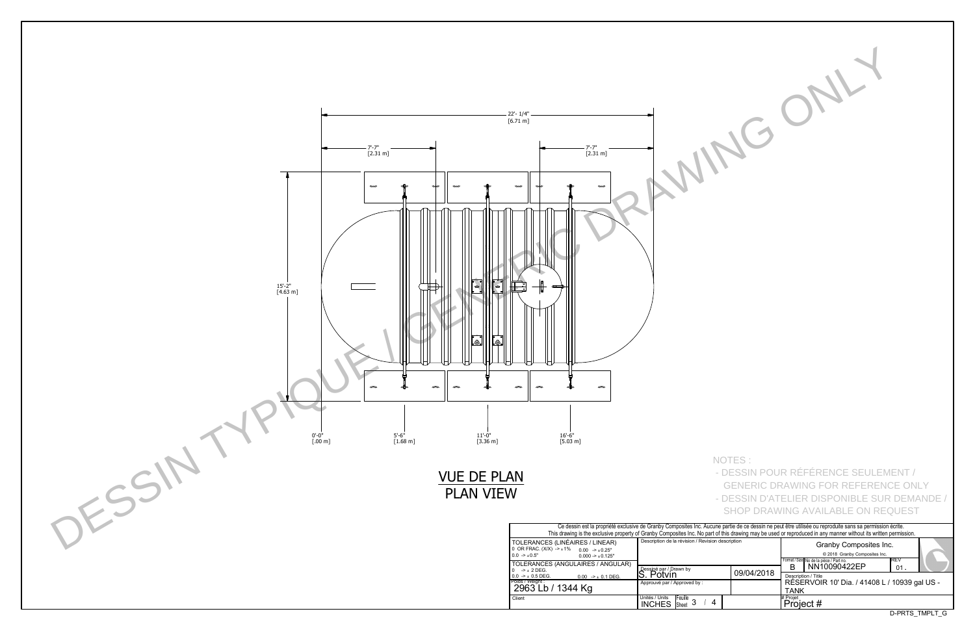| Ce dessin est la propriété exclusive de Granby Composites Inc. Aucune partie de ce dessin ne peut être utilisée ou reproduite sans sa permission écrite.         |                                                   |            |                                                         |                |  |  |  |  |  |  |  |  |
|------------------------------------------------------------------------------------------------------------------------------------------------------------------|---------------------------------------------------|------------|---------------------------------------------------------|----------------|--|--|--|--|--|--|--|--|
| This drawing is the exclusive property of Granby Composites Inc. No part of this drawing may be used or reproduced in any manner without its written permission. |                                                   |            |                                                         |                |  |  |  |  |  |  |  |  |
| S (LINÉAIRES / LINEAR)                                                                                                                                           | Description de la révision / Revision description |            | Granby Composites Inc.                                  |                |  |  |  |  |  |  |  |  |
| $(X)$ -> $\pm$ 1% 0.00 -> $\pm$ 0.25"                                                                                                                            |                                                   |            |                                                         |                |  |  |  |  |  |  |  |  |
| $0.000 - 1.001 - 1.001$                                                                                                                                          |                                                   |            | © 2018 Granby Composites Inc.                           |                |  |  |  |  |  |  |  |  |
| S (ANGULAIRES / ANGULAR)                                                                                                                                         |                                                   |            | Format / Size No de la pièce / Part no.<br>NN10090422EP | <b>REV</b>     |  |  |  |  |  |  |  |  |
|                                                                                                                                                                  | Dessiné par / Drawn by                            | 09/04/2018 | R                                                       | 01             |  |  |  |  |  |  |  |  |
| $0.00$ -> $\pm$ 0.1 DEG.                                                                                                                                         | S. Potvin                                         |            | Description / Title                                     |                |  |  |  |  |  |  |  |  |
|                                                                                                                                                                  | Approuvé par / Approved by:                       |            | RÉSERVOIR 10' Dia. / 41408 L / 10939 gal US -           |                |  |  |  |  |  |  |  |  |
| / 1344 Kg                                                                                                                                                        |                                                   |            | <b>TANK</b>                                             |                |  |  |  |  |  |  |  |  |
|                                                                                                                                                                  | Unités / Units<br>Feuille                         |            | # Projet                                                |                |  |  |  |  |  |  |  |  |
|                                                                                                                                                                  | 4<br><b>INCHES</b><br>Sheet                       |            | Project #                                               |                |  |  |  |  |  |  |  |  |
|                                                                                                                                                                  |                                                   |            |                                                         | D-PRTS TMPLT G |  |  |  |  |  |  |  |  |
|                                                                                                                                                                  |                                                   |            |                                                         |                |  |  |  |  |  |  |  |  |



NOTES :

- DESSIN POUR RÉFÉRENCE SEULEMENT /
- GENERIC DRAWING FOR REFERENCE ONLY - DESSIN D'ATELIER DISPONIBLE SUR DEMANDE /
- 
- SHOP DRAWING AVAILABLE ON REQUEST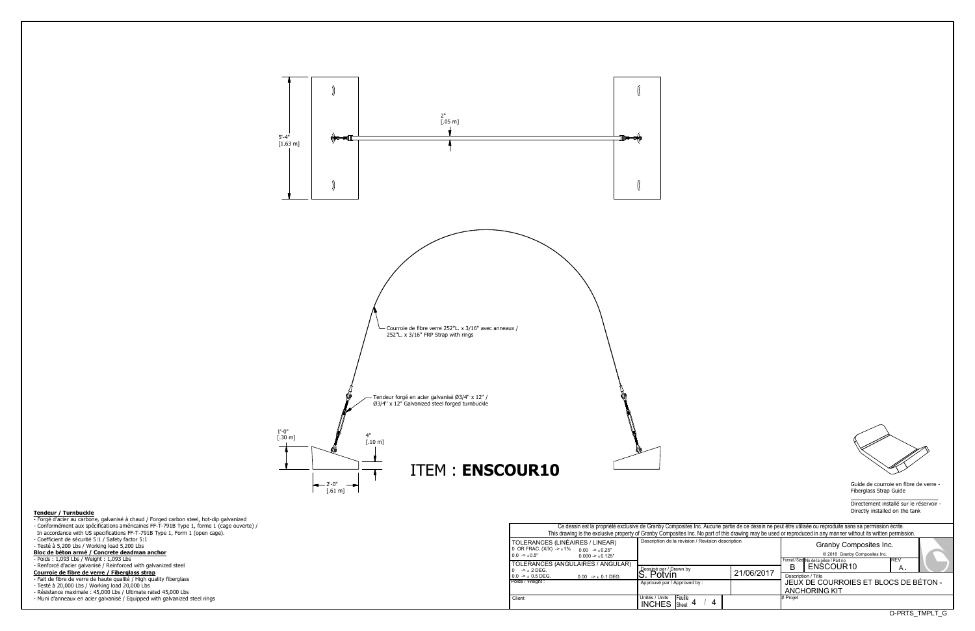Guide de courroie en fibre de verre - Fiberglass Strap Guide

 $\overline{\phantom{a}}$  , and the set of the set of the set of the set of the set of the set of the set of the set of the set of the set of the set of the set of the set of the set of the set of the set of the set of the set of the s Directement installé sur le réservoir -Directly installed on the tank

D-PRTS\_TMPLT\_G

| Ce dessin est la propriété exclusive de Granby Composites Inc. Aucune partie de ce dessin ne peut être utilisée ou reproduite sans sa permission écrite. |                                                                                                                                                                  |                        |                                       |                                         |                |  |  |  |  |  |  |  |
|----------------------------------------------------------------------------------------------------------------------------------------------------------|------------------------------------------------------------------------------------------------------------------------------------------------------------------|------------------------|---------------------------------------|-----------------------------------------|----------------|--|--|--|--|--|--|--|
|                                                                                                                                                          | This drawing is the exclusive property of Granby Composites Inc. No part of this drawing may be used or reproduced in any manner without its written permission. |                        |                                       |                                         |                |  |  |  |  |  |  |  |
| S (LINÉAIRES / LINEAR)                                                                                                                                   | Description de la révision / Revision description                                                                                                                | Granby Composites Inc. |                                       |                                         |                |  |  |  |  |  |  |  |
| X) -> ±1%<br>$0.00 \rightarrow 0.25"$                                                                                                                    |                                                                                                                                                                  |                        |                                       |                                         |                |  |  |  |  |  |  |  |
| $0.000 - 1.0125$ "                                                                                                                                       |                                                                                                                                                                  |                        |                                       | © 2018 Granby Composites Inc.           |                |  |  |  |  |  |  |  |
|                                                                                                                                                          |                                                                                                                                                                  |                        |                                       | Format / Size No de la pièce / Part no. | IREV           |  |  |  |  |  |  |  |
| S (ANGULAIRES / ANGULAR)                                                                                                                                 | Dessiné par / Drawn by                                                                                                                                           |                        | R                                     | ENSCOUR10                               | Α.             |  |  |  |  |  |  |  |
|                                                                                                                                                          | Potvin                                                                                                                                                           | 21/06/2017             |                                       |                                         |                |  |  |  |  |  |  |  |
| $0.00$ -> $\pm$ 0.1 DEG.                                                                                                                                 |                                                                                                                                                                  |                        | Description / Title                   |                                         |                |  |  |  |  |  |  |  |
|                                                                                                                                                          | Approuvé par / Approved by :                                                                                                                                     |                        | JEUX DE COURROIES ET BLOCS DE BÉTON - |                                         |                |  |  |  |  |  |  |  |
|                                                                                                                                                          |                                                                                                                                                                  | <b>ANCHORING KIT</b>   |                                       |                                         |                |  |  |  |  |  |  |  |
|                                                                                                                                                          | Unités / Units<br>Feuille                                                                                                                                        |                        | # Proiet                              |                                         |                |  |  |  |  |  |  |  |
|                                                                                                                                                          | 4<br>-4<br><b>INCHES</b><br>Sheet                                                                                                                                |                        |                                       |                                         |                |  |  |  |  |  |  |  |
|                                                                                                                                                          |                                                                                                                                                                  |                        |                                       |                                         | D-PRTS TMPLT G |  |  |  |  |  |  |  |

| Ce dessin est la propriété exclusive de Granby Composites Inc. Aucune partie de ce dessin ne peut être u<br>This drawing is the exclusive property of Granby Composites Inc. No part of this drawing may be used or repro |                                                   |            |                   |  |  |  |  |  |  |
|---------------------------------------------------------------------------------------------------------------------------------------------------------------------------------------------------------------------------|---------------------------------------------------|------------|-------------------|--|--|--|--|--|--|
| TOLERANCES (LINÉAIRES / LINEAR)<br>0 OR FRAC. $(X/X)$ -> $\pm 1\%$ 0.00 -> $\pm 0.25$ "<br>$0.0 \rightarrow 0.5"$<br>$0.000 - 1.000 - 1.000$                                                                              | Description de la révision / Revision description |            |                   |  |  |  |  |  |  |
| TOLERANCES (ANGULAIRES / ANGULAR)                                                                                                                                                                                         |                                                   |            |                   |  |  |  |  |  |  |
| $-2 + 2$ DEG.<br>$0.0 \rightarrow \pm 0.5$ DEG.<br>$0.00$ -> $\pm$ 0.1 DEG.                                                                                                                                               | Dessiné par / Drawn by<br>S. Potvin               | 21/06/2017 | в<br>Descr        |  |  |  |  |  |  |
| Poids / Weight :                                                                                                                                                                                                          | Approuvé par / Approved by:                       |            | JEU<br><b>ANC</b> |  |  |  |  |  |  |
| Client                                                                                                                                                                                                                    | Unités / Units<br>Feuille<br><b>INCHES</b> Sheet  |            | # Projet          |  |  |  |  |  |  |

- Forgé d'acier au carbone, galvanisé à chaud / Forged carbon steel, hot-dip galvanized - Conformément aux spécifications américaines FF-T-791B Type 1, forme 1 (cage ouverte) / In accordance with US specifications FF-T-791B Type 1, Form 1 (open cage). - Coefficient de sécurité 5:1 / Safety factor 5:1
- Testé à 5,200 Lbs / Working load 5,200 Lbs
- **Bloc de bpton armp / Concrete deadman anchor**
- Poids : 1,093 Lbs / Weight : 1,093 Lbs

- Renforcé d'acier galvanisé / Reinforced with galvanized steel

- **Courroie de fibre de verre / Fiberglass strap**
- Fait de fibre de verre de haute qualité / High quality fiberglass
- Testé à 20,000 Lbs / Working load 20,000 Lbs
- Rpsistance maximale : 45,000 Lbs / Ultimate rated 45,000 Lbs
- Muni d'anneaux en acier galvanisé / Equipped with galvanized steel rings



## **Tendeur / Turnbuckle**